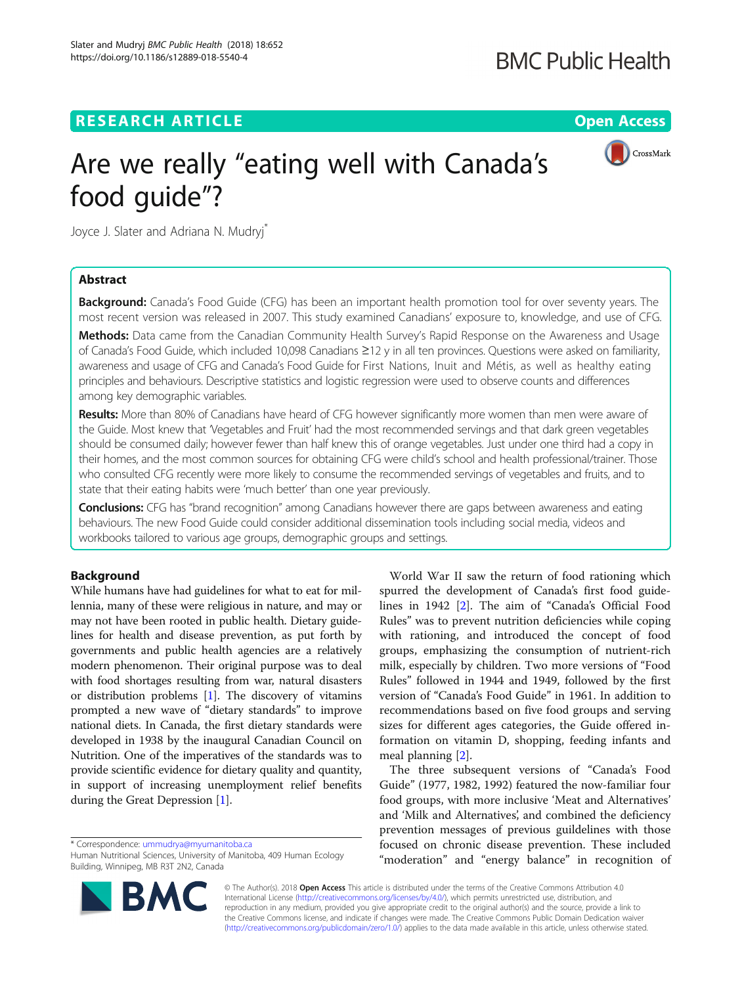# **RESEARCH ARTICLE Example 2014 12:30 The Open Access**



# Are we really "eating well with Canada's food guide"?

Joyce J. Slater and Adriana N. Mudryi<sup>7</sup>

# Abstract

**Background:** Canada's Food Guide (CFG) has been an important health promotion tool for over seventy years. The most recent version was released in 2007. This study examined Canadians' exposure to, knowledge, and use of CFG.

Methods: Data came from the Canadian Community Health Survey's Rapid Response on the Awareness and Usage of Canada's Food Guide, which included 10,098 Canadians ≥12 y in all ten provinces. Questions were asked on familiarity, awareness and usage of CFG and Canada's Food Guide for First Nations, Inuit and Métis, as well as healthy eating principles and behaviours. Descriptive statistics and logistic regression were used to observe counts and differences among key demographic variables.

Results: More than 80% of Canadians have heard of CFG however significantly more women than men were aware of the Guide. Most knew that 'Vegetables and Fruit' had the most recommended servings and that dark green vegetables should be consumed daily; however fewer than half knew this of orange vegetables. Just under one third had a copy in their homes, and the most common sources for obtaining CFG were child's school and health professional/trainer. Those who consulted CFG recently were more likely to consume the recommended servings of vegetables and fruits, and to state that their eating habits were 'much better' than one year previously.

**Conclusions:** CFG has "brand recognition" among Canadians however there are gaps between awareness and eating behaviours. The new Food Guide could consider additional dissemination tools including social media, videos and workbooks tailored to various age groups, demographic groups and settings.

# Background

While humans have had guidelines for what to eat for millennia, many of these were religious in nature, and may or may not have been rooted in public health. Dietary guidelines for health and disease prevention, as put forth by governments and public health agencies are a relatively modern phenomenon. Their original purpose was to deal with food shortages resulting from war, natural disasters or distribution problems [[1](#page-6-0)]. The discovery of vitamins prompted a new wave of "dietary standards" to improve national diets. In Canada, the first dietary standards were developed in 1938 by the inaugural Canadian Council on Nutrition. One of the imperatives of the standards was to provide scientific evidence for dietary quality and quantity, in support of increasing unemployment relief benefits during the Great Depression [\[1](#page-6-0)].

\* Correspondence: [ummudrya@myumanitoba.ca](mailto:ummudrya@myumanitoba.ca)

Human Nutritional Sciences, University of Manitoba, 409 Human Ecology Building, Winnipeg, MB R3T 2N2, Canada



World War II saw the return of food rationing which spurred the development of Canada's first food guidelines in 1942 [\[2](#page-6-0)]. The aim of "Canada's Official Food Rules" was to prevent nutrition deficiencies while coping with rationing, and introduced the concept of food groups, emphasizing the consumption of nutrient-rich milk, especially by children. Two more versions of "Food Rules" followed in 1944 and 1949, followed by the first version of "Canada's Food Guide" in 1961. In addition to recommendations based on five food groups and serving sizes for different ages categories, the Guide offered information on vitamin D, shopping, feeding infants and meal planning [[2\]](#page-6-0).

The three subsequent versions of "Canada's Food Guide" (1977, 1982, 1992) featured the now-familiar four food groups, with more inclusive 'Meat and Alternatives' and 'Milk and Alternatives', and combined the deficiency prevention messages of previous guildelines with those focused on chronic disease prevention. These included "moderation" and "energy balance" in recognition of

© The Author(s). 2018 Open Access This article is distributed under the terms of the Creative Commons Attribution 4.0 International License [\(http://creativecommons.org/licenses/by/4.0/](http://creativecommons.org/licenses/by/4.0/)), which permits unrestricted use, distribution, and reproduction in any medium, provided you give appropriate credit to the original author(s) and the source, provide a link to the Creative Commons license, and indicate if changes were made. The Creative Commons Public Domain Dedication waiver [\(http://creativecommons.org/publicdomain/zero/1.0/](http://creativecommons.org/publicdomain/zero/1.0/)) applies to the data made available in this article, unless otherwise stated.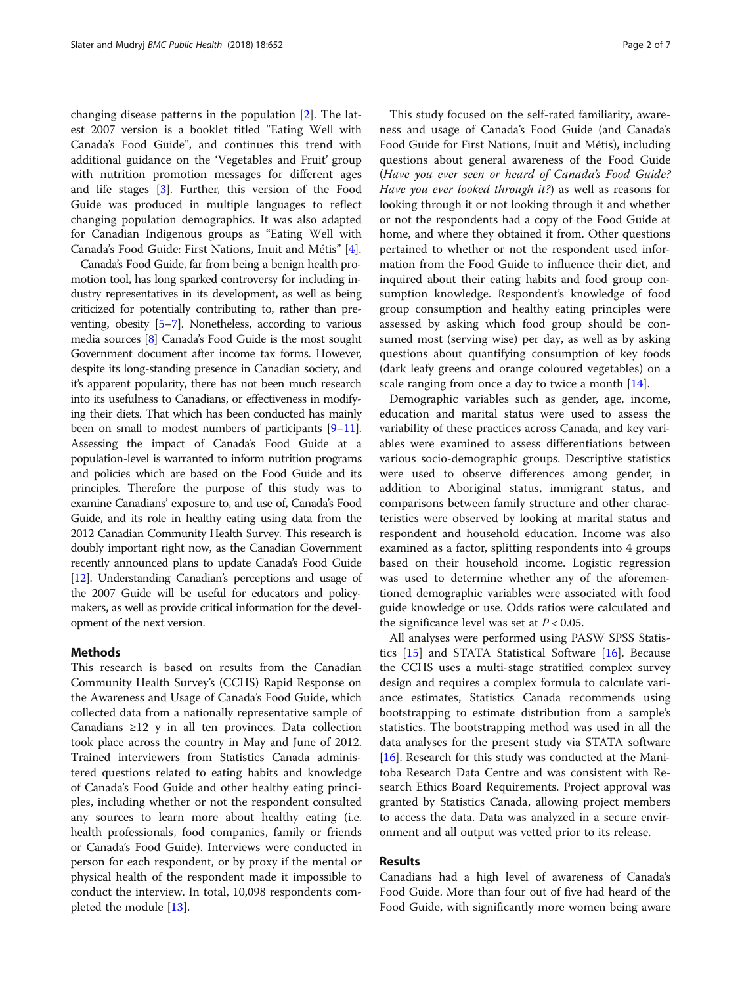changing disease patterns in the population [[2\]](#page-6-0). The latest 2007 version is a booklet titled "Eating Well with Canada's Food Guide", and continues this trend with additional guidance on the 'Vegetables and Fruit' group with nutrition promotion messages for different ages and life stages [[3](#page-6-0)]. Further, this version of the Food Guide was produced in multiple languages to reflect changing population demographics. It was also adapted for Canadian Indigenous groups as "Eating Well with Canada's Food Guide: First Nations, Inuit and Métis" [[4\]](#page-6-0).

Canada's Food Guide, far from being a benign health promotion tool, has long sparked controversy for including industry representatives in its development, as well as being criticized for potentially contributing to, rather than preventing, obesity [\[5](#page-6-0)–[7\]](#page-6-0). Nonetheless, according to various media sources [\[8\]](#page-6-0) Canada's Food Guide is the most sought Government document after income tax forms. However, despite its long-standing presence in Canadian society, and it's apparent popularity, there has not been much research into its usefulness to Canadians, or effectiveness in modifying their diets. That which has been conducted has mainly been on small to modest numbers of participants [\[9](#page-6-0)–[11](#page-6-0)]. Assessing the impact of Canada's Food Guide at a population-level is warranted to inform nutrition programs and policies which are based on the Food Guide and its principles. Therefore the purpose of this study was to examine Canadians' exposure to, and use of, Canada's Food Guide, and its role in healthy eating using data from the 2012 Canadian Community Health Survey. This research is doubly important right now, as the Canadian Government recently announced plans to update Canada's Food Guide [[12](#page-6-0)]. Understanding Canadian's perceptions and usage of the 2007 Guide will be useful for educators and policymakers, as well as provide critical information for the development of the next version.

## Methods

This research is based on results from the Canadian Community Health Survey's (CCHS) Rapid Response on the Awareness and Usage of Canada's Food Guide, which collected data from a nationally representative sample of Canadians  $\geq 12$  y in all ten provinces. Data collection took place across the country in May and June of 2012. Trained interviewers from Statistics Canada administered questions related to eating habits and knowledge of Canada's Food Guide and other healthy eating principles, including whether or not the respondent consulted any sources to learn more about healthy eating (i.e. health professionals, food companies, family or friends or Canada's Food Guide). Interviews were conducted in person for each respondent, or by proxy if the mental or physical health of the respondent made it impossible to conduct the interview. In total, 10,098 respondents completed the module [\[13](#page-6-0)].

This study focused on the self-rated familiarity, awareness and usage of Canada's Food Guide (and Canada's Food Guide for First Nations, Inuit and Métis), including questions about general awareness of the Food Guide (Have you ever seen or heard of Canada's Food Guide? Have you ever looked through it?) as well as reasons for looking through it or not looking through it and whether or not the respondents had a copy of the Food Guide at home, and where they obtained it from. Other questions pertained to whether or not the respondent used information from the Food Guide to influence their diet, and inquired about their eating habits and food group consumption knowledge. Respondent's knowledge of food group consumption and healthy eating principles were assessed by asking which food group should be consumed most (serving wise) per day, as well as by asking questions about quantifying consumption of key foods (dark leafy greens and orange coloured vegetables) on a scale ranging from once a day to twice a month [[14](#page-6-0)].

Demographic variables such as gender, age, income, education and marital status were used to assess the variability of these practices across Canada, and key variables were examined to assess differentiations between various socio-demographic groups. Descriptive statistics were used to observe differences among gender, in addition to Aboriginal status, immigrant status, and comparisons between family structure and other characteristics were observed by looking at marital status and respondent and household education. Income was also examined as a factor, splitting respondents into 4 groups based on their household income. Logistic regression was used to determine whether any of the aforementioned demographic variables were associated with food guide knowledge or use. Odds ratios were calculated and the significance level was set at  $P < 0.05$ .

All analyses were performed using PASW SPSS Statistics [\[15](#page-6-0)] and STATA Statistical Software [\[16\]](#page-6-0). Because the CCHS uses a multi-stage stratified complex survey design and requires a complex formula to calculate variance estimates, Statistics Canada recommends using bootstrapping to estimate distribution from a sample's statistics. The bootstrapping method was used in all the data analyses for the present study via STATA software [[16\]](#page-6-0). Research for this study was conducted at the Manitoba Research Data Centre and was consistent with Research Ethics Board Requirements. Project approval was granted by Statistics Canada, allowing project members to access the data. Data was analyzed in a secure environment and all output was vetted prior to its release.

## Results

Canadians had a high level of awareness of Canada's Food Guide. More than four out of five had heard of the Food Guide, with significantly more women being aware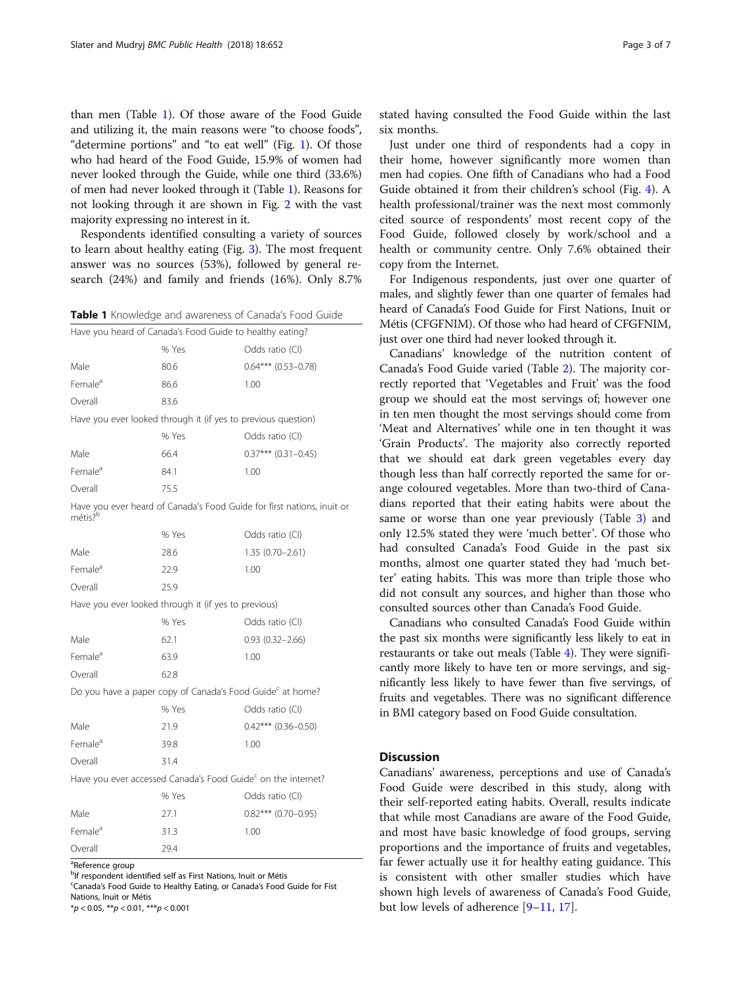than men (Table 1). Of those aware of the Food Guide and utilizing it, the main reasons were "to choose foods", "determine portions" and "to eat well" (Fig. [1\)](#page-3-0). Of those who had heard of the Food Guide, 15.9% of women had never looked through the Guide, while one third (33.6%) of men had never looked through it (Table 1). Reasons for not looking through it are shown in Fig. [2](#page-3-0) with the vast majority expressing no interest in it.

Respondents identified consulting a variety of sources to learn about healthy eating (Fig. [3\)](#page-4-0). The most frequent answer was no sources (53%), followed by general research (24%) and family and friends (16%). Only 8.7%

|  |  | Table 1 Knowledge and awareness of Canada's Food Guide |  |  |  |  |  |  |
|--|--|--------------------------------------------------------|--|--|--|--|--|--|
|--|--|--------------------------------------------------------|--|--|--|--|--|--|

| Have you heard of Canada's Food Guide to healthy eating?                 |              |                                                                        |  |  |
|--------------------------------------------------------------------------|--------------|------------------------------------------------------------------------|--|--|
|                                                                          | % Yes        | Odds ratio (CI)                                                        |  |  |
| Male                                                                     | 80.6         | $0.64***$ (0.53-0.78)                                                  |  |  |
| Female <sup>a</sup>                                                      | 86.6         | 1.00                                                                   |  |  |
| Overall                                                                  | 83.6         |                                                                        |  |  |
| Have you ever looked through it (if yes to previous question)            |              |                                                                        |  |  |
|                                                                          | % Yes        | Odds ratio (CI)                                                        |  |  |
| Male                                                                     | 66.4         | $0.37***$ $(0.31-0.45)$                                                |  |  |
| Female <sup>a</sup>                                                      | 84.1         | 1.00                                                                   |  |  |
| Overall                                                                  | 75.5         |                                                                        |  |  |
| métis? <sup>b</sup>                                                      |              | Have you ever heard of Canada's Food Guide for first nations, inuit or |  |  |
|                                                                          | % Yes        | Odds ratio (CI)                                                        |  |  |
| Male                                                                     | 28.6         | $1.35(0.70 - 2.61)$                                                    |  |  |
| Female <sup>a</sup>                                                      | 22.9         | 1.00                                                                   |  |  |
| Overall                                                                  | 25.9         |                                                                        |  |  |
| Have you ever looked through it (if yes to previous)                     |              |                                                                        |  |  |
|                                                                          | % Yes        | Odds ratio (CI)                                                        |  |  |
| Male                                                                     | 62.1         | $0.93(0.32 - 2.66)$                                                    |  |  |
| Female <sup>a</sup>                                                      | 63.9         | 1.00                                                                   |  |  |
| Overall                                                                  | 62.8         |                                                                        |  |  |
| Do you have a paper copy of Canada's Food Guide <sup>c</sup> at home?    |              |                                                                        |  |  |
|                                                                          | % Yes        | Odds ratio (CI)                                                        |  |  |
| Male                                                                     | 21.9         | $0.42***$ (0.36-0.50)                                                  |  |  |
| Female <sup>a</sup>                                                      | 39.8<br>1.00 |                                                                        |  |  |
| Overall                                                                  | 31.4         |                                                                        |  |  |
| Have you ever accessed Canada's Food Guide <sup>c</sup> on the internet? |              |                                                                        |  |  |
|                                                                          | % Yes        | Odds ratio (CI)                                                        |  |  |
| Male                                                                     | 27.1         | $0.82***$ (0.70-0.95)                                                  |  |  |
| Female <sup>a</sup>                                                      | 31.3         | 1.00                                                                   |  |  |
| Overall                                                                  | 29.4         |                                                                        |  |  |

a Reference group

<sup>b</sup>lf respondent identified self as First Nations, Inuit or Métis

<sup>c</sup>Canada's Food Guide to Healthy Eating, or Canada's Food Guide for Fist Nations, Inuit or Métis

 $*p < 0.05$ ,  $**p < 0.01$ ,  $***p < 0.001$ 

stated having consulted the Food Guide within the last six months.

Just under one third of respondents had a copy in their home, however significantly more women than men had copies. One fifth of Canadians who had a Food Guide obtained it from their children's school (Fig. [4](#page-4-0)). A health professional/trainer was the next most commonly cited source of respondents' most recent copy of the Food Guide, followed closely by work/school and a health or community centre. Only 7.6% obtained their copy from the Internet.

For Indigenous respondents, just over one quarter of males, and slightly fewer than one quarter of females had heard of Canada's Food Guide for First Nations, Inuit or Métis (CFGFNIM). Of those who had heard of CFGFNIM, just over one third had never looked through it.

Canadians' knowledge of the nutrition content of Canada's Food Guide varied (Table [2\)](#page-5-0). The majority correctly reported that 'Vegetables and Fruit' was the food group we should eat the most servings of; however one in ten men thought the most servings should come from 'Meat and Alternatives' while one in ten thought it was 'Grain Products'. The majority also correctly reported that we should eat dark green vegetables every day though less than half correctly reported the same for orange coloured vegetables. More than two-third of Canadians reported that their eating habits were about the same or worse than one year previously (Table [3\)](#page-5-0) and only 12.5% stated they were 'much better'. Of those who had consulted Canada's Food Guide in the past six months, almost one quarter stated they had 'much better' eating habits. This was more than triple those who did not consult any sources, and higher than those who consulted sources other than Canada's Food Guide.

Canadians who consulted Canada's Food Guide within the past six months were significantly less likely to eat in restaurants or take out meals (Table [4\)](#page-5-0). They were significantly more likely to have ten or more servings, and significantly less likely to have fewer than five servings, of fruits and vegetables. There was no significant difference in BMI category based on Food Guide consultation.

## Discussion

Canadians' awareness, perceptions and use of Canada's Food Guide were described in this study, along with their self-reported eating habits. Overall, results indicate that while most Canadians are aware of the Food Guide, and most have basic knowledge of food groups, serving proportions and the importance of fruits and vegetables, far fewer actually use it for healthy eating guidance. This is consistent with other smaller studies which have shown high levels of awareness of Canada's Food Guide, but low levels of adherence [[9](#page-6-0)–[11](#page-6-0), [17](#page-6-0)].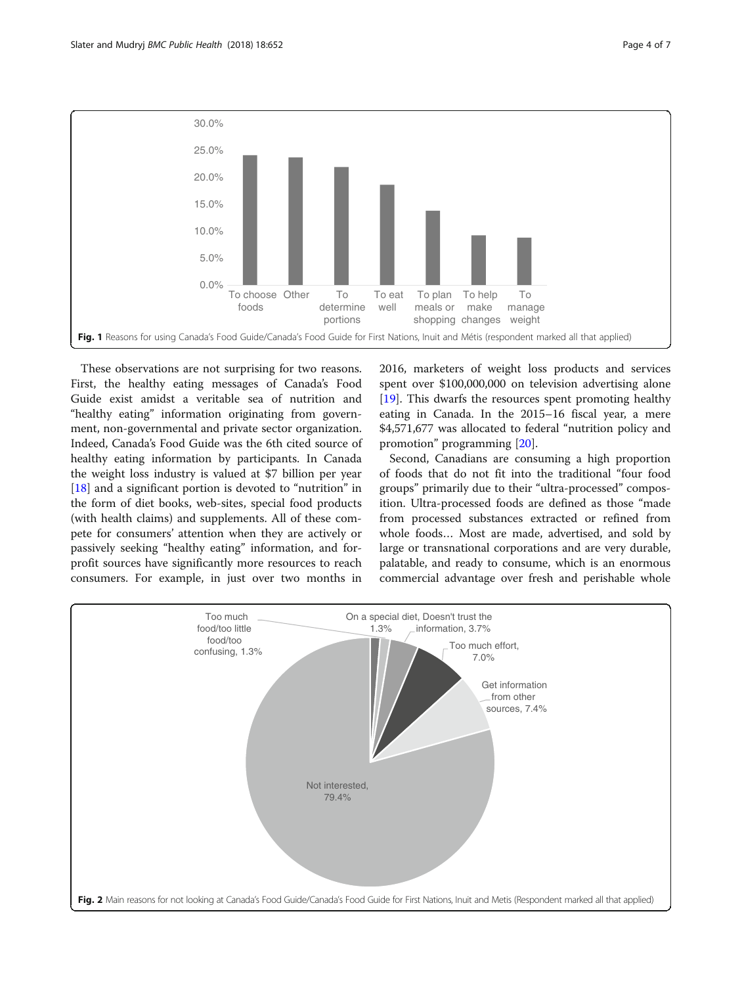<span id="page-3-0"></span>

These observations are not surprising for two reasons. First, the healthy eating messages of Canada's Food Guide exist amidst a veritable sea of nutrition and "healthy eating" information originating from government, non-governmental and private sector organization. Indeed, Canada's Food Guide was the 6th cited source of healthy eating information by participants. In Canada the weight loss industry is valued at \$7 billion per year [[18\]](#page-6-0) and a significant portion is devoted to "nutrition" in the form of diet books, web-sites, special food products (with health claims) and supplements. All of these compete for consumers' attention when they are actively or passively seeking "healthy eating" information, and forprofit sources have significantly more resources to reach consumers. For example, in just over two months in

2016, marketers of weight loss products and services spent over \$100,000,000 on television advertising alone [[19\]](#page-6-0). This dwarfs the resources spent promoting healthy eating in Canada. In the 2015–16 fiscal year, a mere \$4,571,677 was allocated to federal "nutrition policy and promotion" programming [[20\]](#page-6-0).

Second, Canadians are consuming a high proportion of foods that do not fit into the traditional "four food groups" primarily due to their "ultra-processed" composition. Ultra-processed foods are defined as those "made from processed substances extracted or refined from whole foods… Most are made, advertised, and sold by large or transnational corporations and are very durable, palatable, and ready to consume, which is an enormous commercial advantage over fresh and perishable whole

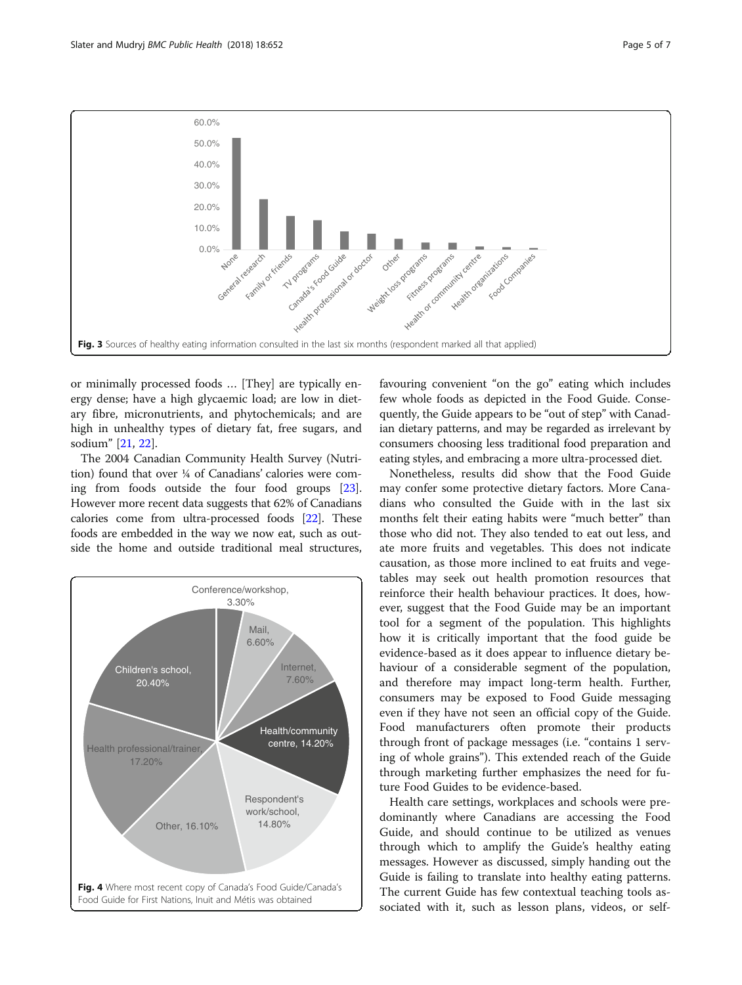<span id="page-4-0"></span>

or minimally processed foods … [They] are typically energy dense; have a high glycaemic load; are low in dietary fibre, micronutrients, and phytochemicals; and are high in unhealthy types of dietary fat, free sugars, and sodium" [[21](#page-6-0), [22](#page-6-0)].

The 2004 Canadian Community Health Survey (Nutrition) found that over ¼ of Canadians' calories were coming from foods outside the four food groups [[23](#page-6-0)]. However more recent data suggests that 62% of Canadians calories come from ultra-processed foods [\[22](#page-6-0)]. These foods are embedded in the way we now eat, such as outside the home and outside traditional meal structures,



favouring convenient "on the go" eating which includes few whole foods as depicted in the Food Guide. Consequently, the Guide appears to be "out of step" with Canadian dietary patterns, and may be regarded as irrelevant by consumers choosing less traditional food preparation and eating styles, and embracing a more ultra-processed diet.

Nonetheless, results did show that the Food Guide may confer some protective dietary factors. More Canadians who consulted the Guide with in the last six months felt their eating habits were "much better" than those who did not. They also tended to eat out less, and ate more fruits and vegetables. This does not indicate causation, as those more inclined to eat fruits and vegetables may seek out health promotion resources that reinforce their health behaviour practices. It does, however, suggest that the Food Guide may be an important tool for a segment of the population. This highlights how it is critically important that the food guide be evidence-based as it does appear to influence dietary behaviour of a considerable segment of the population, and therefore may impact long-term health. Further, consumers may be exposed to Food Guide messaging even if they have not seen an official copy of the Guide. Food manufacturers often promote their products through front of package messages (i.e. "contains 1 serving of whole grains"). This extended reach of the Guide through marketing further emphasizes the need for future Food Guides to be evidence-based.

Health care settings, workplaces and schools were predominantly where Canadians are accessing the Food Guide, and should continue to be utilized as venues through which to amplify the Guide's healthy eating messages. However as discussed, simply handing out the Guide is failing to translate into healthy eating patterns. The current Guide has few contextual teaching tools associated with it, such as lesson plans, videos, or self-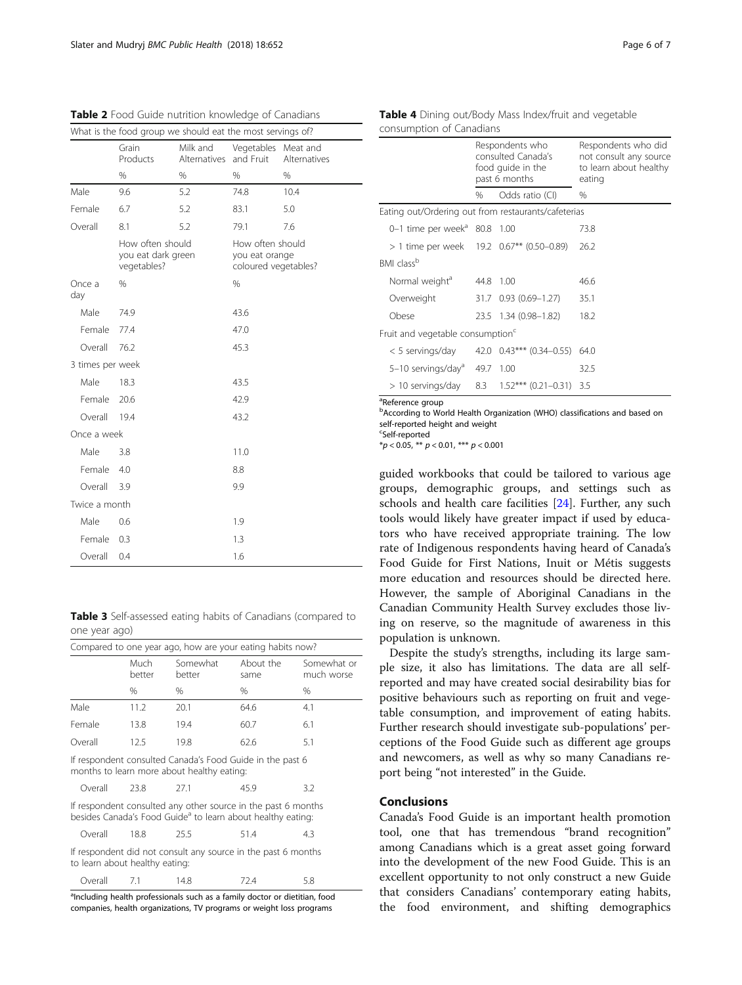|                  | Grain<br>Products                                     | Milk and<br>Alternatives | Vegetables<br>and Fruit                                    | Meat and<br>Alternatives |  |
|------------------|-------------------------------------------------------|--------------------------|------------------------------------------------------------|--------------------------|--|
|                  | %                                                     | %                        | %                                                          | %                        |  |
| Male             | 9.6                                                   | 5.2                      | 74.8                                                       | 10.4                     |  |
| Female           | 6.7                                                   | 5.2                      | 83.1                                                       | 5.0                      |  |
| Overall          | 8.1                                                   | 5.2                      | 79.1                                                       | 7.6                      |  |
|                  | How often should<br>you eat dark green<br>vegetables? |                          | How often should<br>you eat orange<br>coloured vegetables? |                          |  |
| Once a<br>day    | %                                                     |                          | %                                                          |                          |  |
| Male             | 74.9                                                  |                          | 43.6                                                       |                          |  |
| Female           | 77.4                                                  |                          | 47.0                                                       |                          |  |
| Overall          | 76.2                                                  |                          | 45.3                                                       |                          |  |
| 3 times per week |                                                       |                          |                                                            |                          |  |
| Male             | 18.3                                                  |                          | 43.5                                                       |                          |  |
| Female           | 20.6                                                  |                          | 42.9                                                       |                          |  |
| Overall          | 19.4                                                  |                          | 43.2                                                       |                          |  |
| Once a week      |                                                       |                          |                                                            |                          |  |
| Male             | 3.8                                                   |                          | 11.0                                                       |                          |  |
| Female           | 4.0                                                   |                          | 8.8                                                        |                          |  |
| Overall          | 3.9                                                   |                          | 9.9                                                        |                          |  |
| Twice a month    |                                                       |                          |                                                            |                          |  |
| Male             | 0.6                                                   |                          | 1.9                                                        |                          |  |
| Female           | 0.3                                                   |                          | 1.3                                                        |                          |  |
| Overall          | 0.4                                                   |                          | 1.6                                                        |                          |  |

<span id="page-5-0"></span>Table 2 Food Guide nutrition knowledge of Canadians

Table 3 Self-assessed eating habits of Canadians (compared to one year ago)

| Compared to one year ago, how are your eating habits now?                                                                                |                |                                                               |                   |                           |  |
|------------------------------------------------------------------------------------------------------------------------------------------|----------------|---------------------------------------------------------------|-------------------|---------------------------|--|
|                                                                                                                                          | Much<br>better | Somewhat<br>better                                            | About the<br>same | Somewhat or<br>much worse |  |
|                                                                                                                                          | %              | %                                                             | %                 | %                         |  |
| Male                                                                                                                                     | 11.2           | 20.1                                                          | 64.6              | 4.1                       |  |
| Female                                                                                                                                   | 13.8           | 19.4                                                          | 60.7              | 6.1                       |  |
| Overall                                                                                                                                  | 12.5           | 19.8                                                          | 62.6              | 5.1                       |  |
| If respondent consulted Canada's Food Guide in the past 6<br>months to learn more about healthy eating:                                  |                |                                                               |                   |                           |  |
| Overall                                                                                                                                  | 23.8           | 27.1                                                          | 45.9              | 3.2                       |  |
| If respondent consulted any other source in the past 6 months<br>besides Canada's Food Guide <sup>a</sup> to learn about healthy eating: |                |                                                               |                   |                           |  |
| Overall<br>18.8                                                                                                                          |                | 25.5                                                          | 51.4              | 4.3                       |  |
| to learn about healthy eating:                                                                                                           |                | If respondent did not consult any source in the past 6 months |                   |                           |  |
| Overall                                                                                                                                  | 7.1            | 14.8                                                          | 72.4              | 5.8                       |  |

<sup>a</sup>Including health professionals such as a family doctor or dietitian, food companies, health organizations, TV programs or weight loss programs

|                                                     | Respondents who<br>consulted Canada's<br>food quide in the<br>past 6 months |                                 | Respondents who did<br>not consult any source<br>to learn about healthy<br>eating |  |  |
|-----------------------------------------------------|-----------------------------------------------------------------------------|---------------------------------|-----------------------------------------------------------------------------------|--|--|
|                                                     | %                                                                           | Odds ratio (CI)                 | $\%$                                                                              |  |  |
| Eating out/Ordering out from restaurants/cafeterias |                                                                             |                                 |                                                                                   |  |  |
| 0-1 time per week <sup>a</sup> 80.8 1.00            |                                                                             |                                 | 73.8                                                                              |  |  |
| $> 1$ time per week 19.2 0.67** (0.50–0.89)         |                                                                             |                                 | 26.2                                                                              |  |  |
| BMI class <sup>b</sup>                              |                                                                             |                                 |                                                                                   |  |  |
| Normal weight <sup>a</sup>                          |                                                                             | 44.8 1.00                       | 46.6                                                                              |  |  |
| Overweight                                          |                                                                             | 31.7 0.93 (0.69-1.27)           | 35.1                                                                              |  |  |
| Obese                                               | 23.5                                                                        | 1.34 (0.98–1.82)                | 18.2                                                                              |  |  |
| Fruit and vegetable consumption <sup>c</sup>        |                                                                             |                                 |                                                                                   |  |  |
| < 5 servings/day                                    |                                                                             | 42.0 0.43*** (0.34–0.55) 64.0   |                                                                                   |  |  |
| $5-10$ servings/day <sup>d</sup>                    |                                                                             | 49.7 1.00                       | 32.5                                                                              |  |  |
| > 10 servings/day                                   |                                                                             | $8.3$ $1.52***$ (0.21-0.31) 3.5 |                                                                                   |  |  |

<sup>a</sup>Reference group

**b**According to World Health Organization (WHO) classifications and based on self-reported height and weight c Self-reported

 $*p < 0.05$ ,  $** p < 0.01$ ,  $*** p < 0.001$ 

guided workbooks that could be tailored to various age groups, demographic groups, and settings such as schools and health care facilities [\[24\]](#page-6-0). Further, any such tools would likely have greater impact if used by educators who have received appropriate training. The low rate of Indigenous respondents having heard of Canada's Food Guide for First Nations, Inuit or Métis suggests more education and resources should be directed here. However, the sample of Aboriginal Canadians in the Canadian Community Health Survey excludes those living on reserve, so the magnitude of awareness in this population is unknown.

Despite the study's strengths, including its large sample size, it also has limitations. The data are all selfreported and may have created social desirability bias for positive behaviours such as reporting on fruit and vegetable consumption, and improvement of eating habits. Further research should investigate sub-populations' perceptions of the Food Guide such as different age groups and newcomers, as well as why so many Canadians report being "not interested" in the Guide.

## Conclusions

Canada's Food Guide is an important health promotion tool, one that has tremendous "brand recognition" among Canadians which is a great asset going forward into the development of the new Food Guide. This is an excellent opportunity to not only construct a new Guide that considers Canadians' contemporary eating habits, the food environment, and shifting demographics

|                          | <b>Table 4</b> Dining out/Body Mass Index/fruit and vegetable |  |
|--------------------------|---------------------------------------------------------------|--|
| consumption of Canadians |                                                               |  |